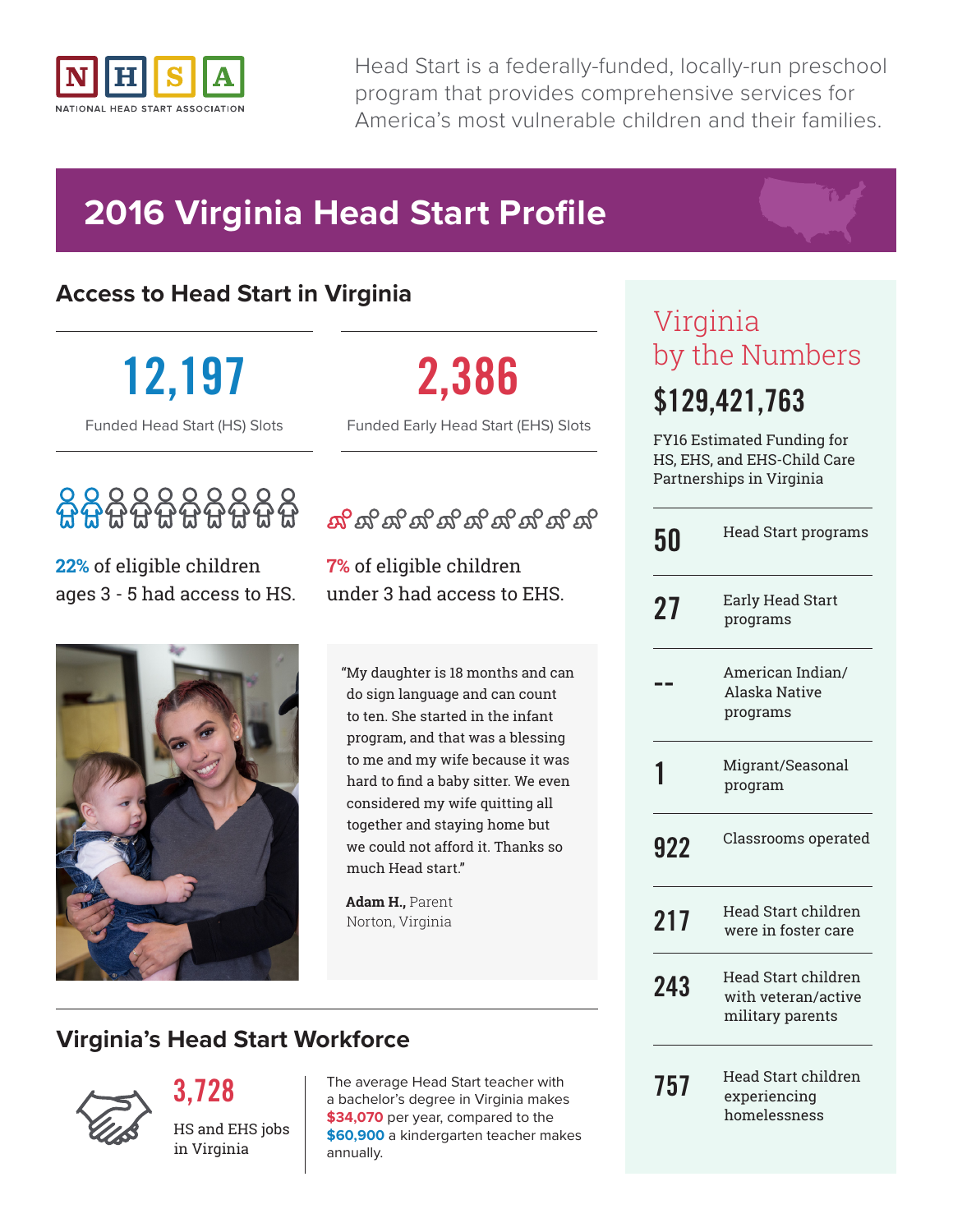

Head Start is a federally-funded, locally-run preschool program that provides comprehensive services for America's most vulnerable children and their families.

## **2016 Virginia Head Start Profile**

### **Access to Head Start in Virginia**

**12,197**

Funded Head Start (HS) Slots

## 6666666666

**22%** of eligible children ages 3 - 5 had access to HS.



**2,386** Funded Early Head Start (EHS) Slots

ಸ್ಟ್ರಾಸ್ ಸ್ಟ್ರಾಸ್ ಸ್ಟ್ರಾಸ್ ಸ್ಟ್ರಾಸ್

**7%** of eligible children under 3 had access to EHS.

"My daughter is 18 months and can do sign language and can count to ten. She started in the infant program, and that was a blessing to me and my wife because it was hard to find a baby sitter. We even considered my wife quitting all together and staying home but we could not afford it. Thanks so much Head start."

**Adam H.,** Parent Norton, Virginia

## Virginia by the Numbers **\$129,421,763**

FY16 Estimated Funding for HS, EHS, and EHS-Child Care Partnerships in Virginia

| 50  | <b>Head Start programs</b>                                     |
|-----|----------------------------------------------------------------|
| 27  | Early Head Start<br>programs                                   |
|     | American Indian/<br>Alaska Native<br>programs                  |
|     | Migrant/Seasonal<br>program                                    |
| 922 | Classrooms operated                                            |
| 217 | Head Start children<br>were in foster care                     |
| 243 | Head Start children<br>with veteran/active<br>military parents |
| 757 | Head Start children<br>experiencing<br>homelessness            |

**3,728**

**Virginia's Head Start Workforce**



The average Head Start teacher with a bachelor's degree in Virginia makes **\$34,070** per year, compared to the **\$60,900** a kindergarten teacher makes annually.